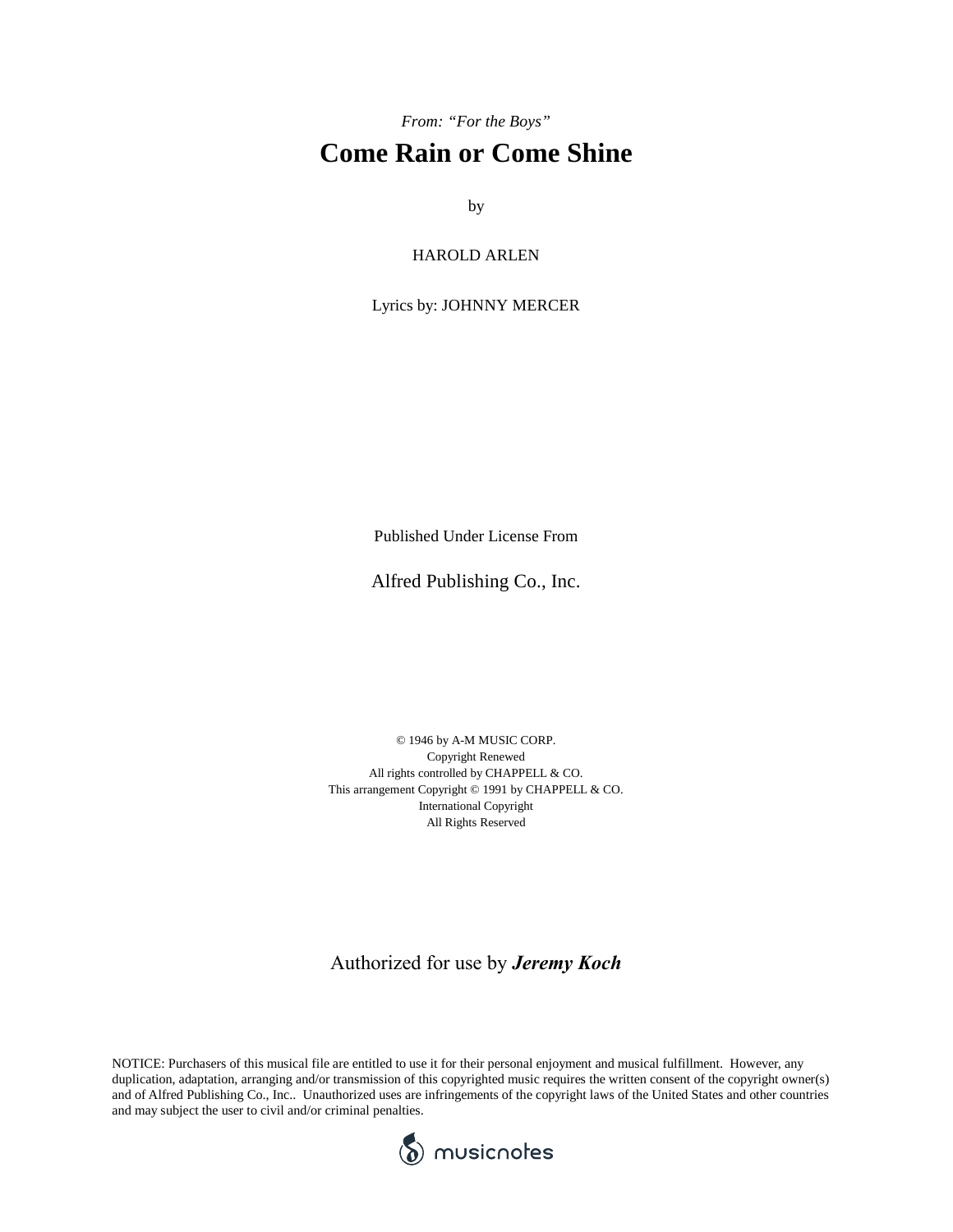*From: "For the Boys"*

## **Come Rain or Come Shine**

by

HAROLD ARLEN

Lyrics by: JOHNNY MERCER

Published Under License From

Alfred Publishing Co., Inc.

© 1946 by A-M MUSIC CORP. Copyright Renewed All rights controlled by CHAPPELL & CO. This arrangement Copyright © 1991 by CHAPPELL & CO. International Copyright All Rights Reserved

Authorized for use by *Jeremy Koch*

NOTICE: Purchasers of this musical file are entitled to use it for their personal enjoyment and musical fulfillment. However, any duplication, adaptation, arranging and/or transmission of this copyrighted music requires the written consent of the copyright owner(s) and of Alfred Publishing Co., Inc.. Unauthorized uses are infringements of the copyright laws of the United States and other countries and may subject the user to civil and/or criminal penalties.

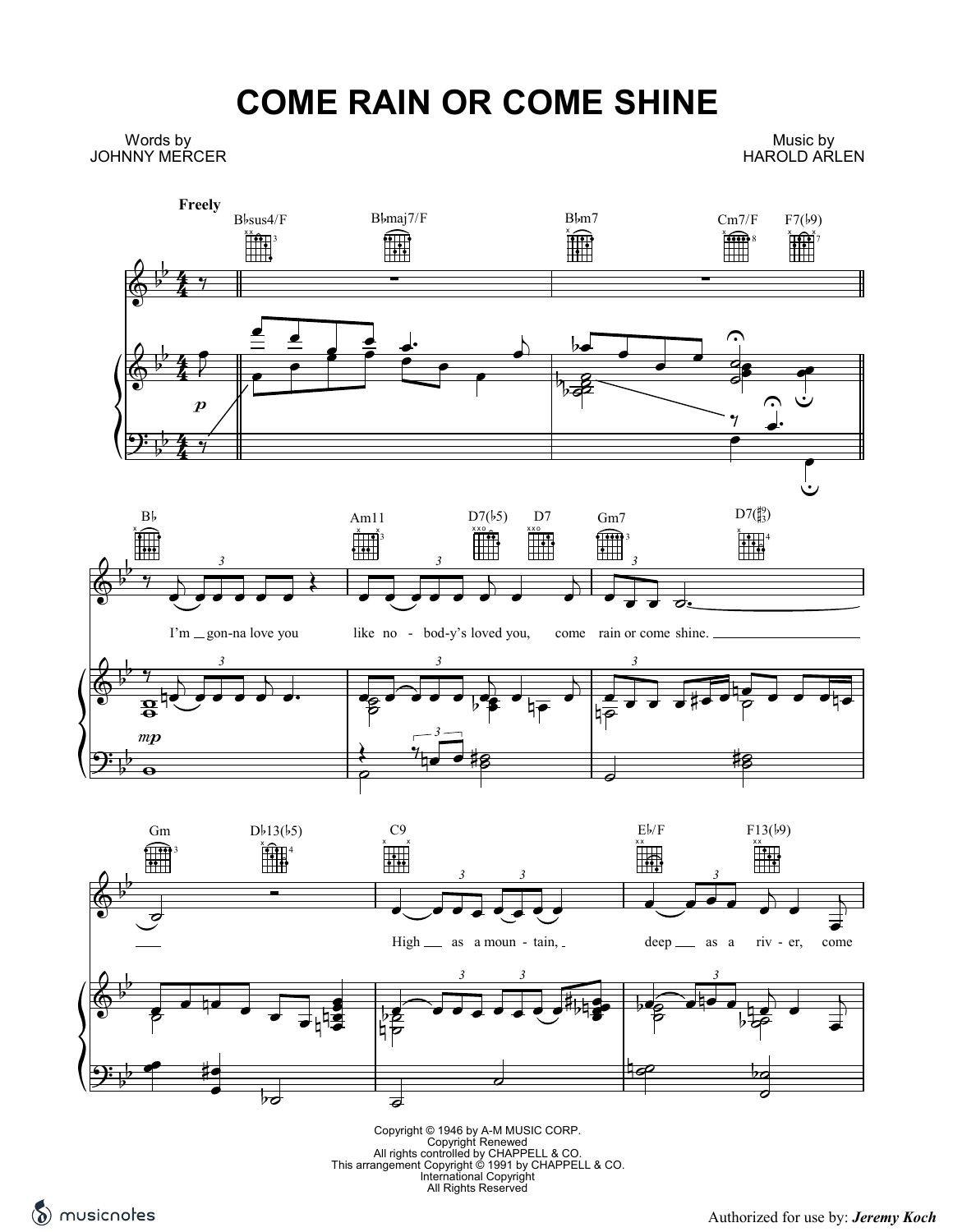## **COME RAIN OR COME SHINE**

Words by JOHNNY MERCER

Music by HAROLD ARLEN



Copyright © 1946 by A-M MUSIC CORP.<br>Copyright Renewed<br>All rights controlled by CHAPPELL & CO.<br>This arrangement Copyright © 1991 by CHAPPELL & CO.<br>International Copyright<br>All Rights Reserved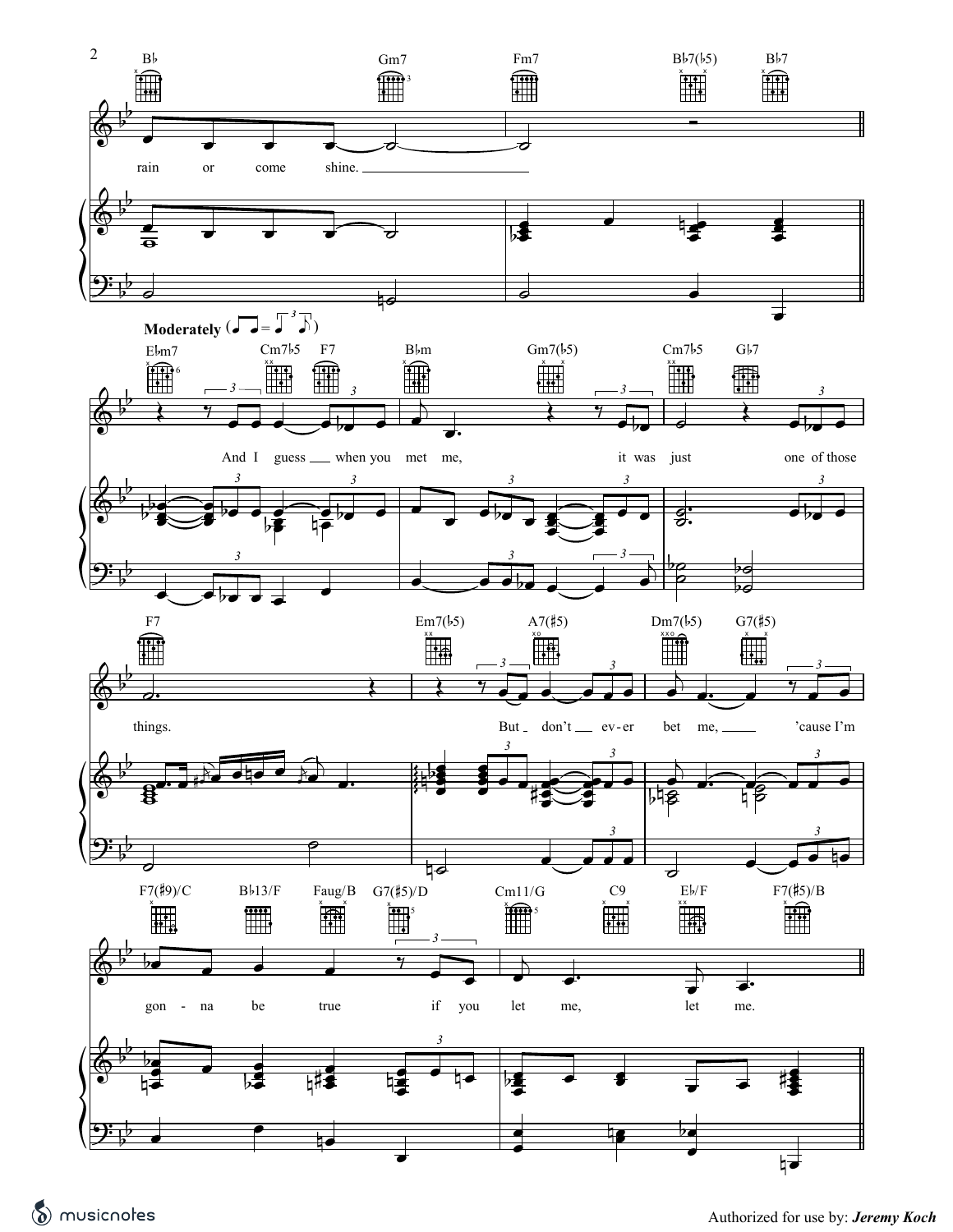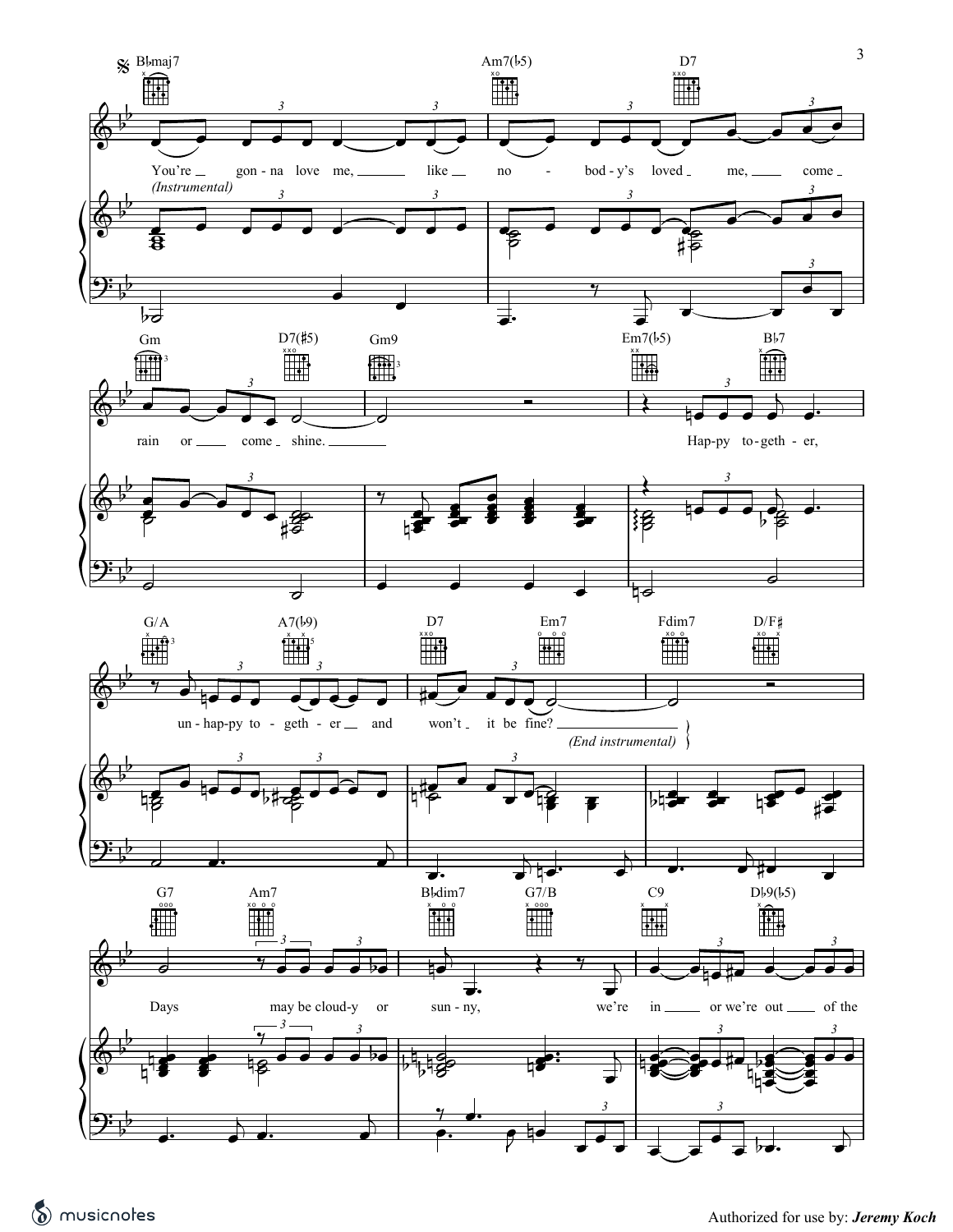